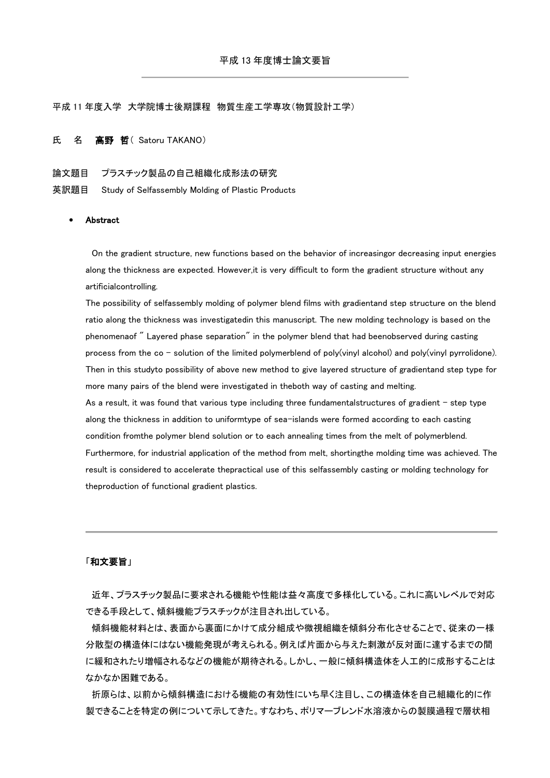平成 11 年度入学 大学院博士後期課程 物質生産工学専攻(物質設計工学)

## 氏 名 高野 哲 (Satoru TAKANO)

## 論文題目 プラスチック製品の自己組織化成形法の研究

英訳題目 Study of Selfassembly Molding of Plastic Products

## **Abstract**

On the gradient structure, new functions based on the behavior of increasingor decreasing input energies along the thickness are expected. However,it is very difficult to form the gradient structure without any artificialcontrolling.

The possibility of selfassembly molding of polymer blend films with gradientand step structure on the blend ratio along the thickness was investigatedin this manuscript. The new molding technology is based on the phenomenaof " Layered phase separation" in the polymer blend that had beenobserved during casting process from the co - solution of the limited polymerblend of poly(vinyl alcohol) and poly(vinyl pyrrolidone). Then in this studyto possibility of above new method to give layered structure of gradientand step type for more many pairs of the blend were investigated in theboth way of casting and melting.

As a result, it was found that various type including three fundamentalstructures of gradient - step type along the thickness in addition to uniformtype of sea-islands were formed according to each casting condition fromthe polymer blend solution or to each annealing times from the melt of polymerblend. Furthermore, for industrial application of the method from melt, shortingthe molding time was achieved. The result is considered to accelerate thepractical use of this selfassembly casting or molding technology for theproduction of functional gradient plastics.

## 「和文要旨」

近年、プラスチック製品に要求される機能や性能は益々高度で多様化している。これに高いレベルで対応 できる手段として、傾斜機能プラスチックが注目され出している。

傾斜機能材料とは、表面から裏面にかけて成分組成や微視組織を傾斜分布化させることで、従来の一様 分散型の構造体にはない機能発現が考えられる。例えば片面から与えた刺激が反対面に達するまでの間 に緩和されたり増幅されるなどの機能が期待される。しかし、一般に傾斜構造体を人工的に成形することは なかなか困難である。

折原らは、以前から傾斜構造における機能の有効性にいち早く注目し、この構造体を自己組織化的に作 製できることを特定の例について示してきた。すなわち、ポリマーブレンド水溶液からの製膜過程で層状相